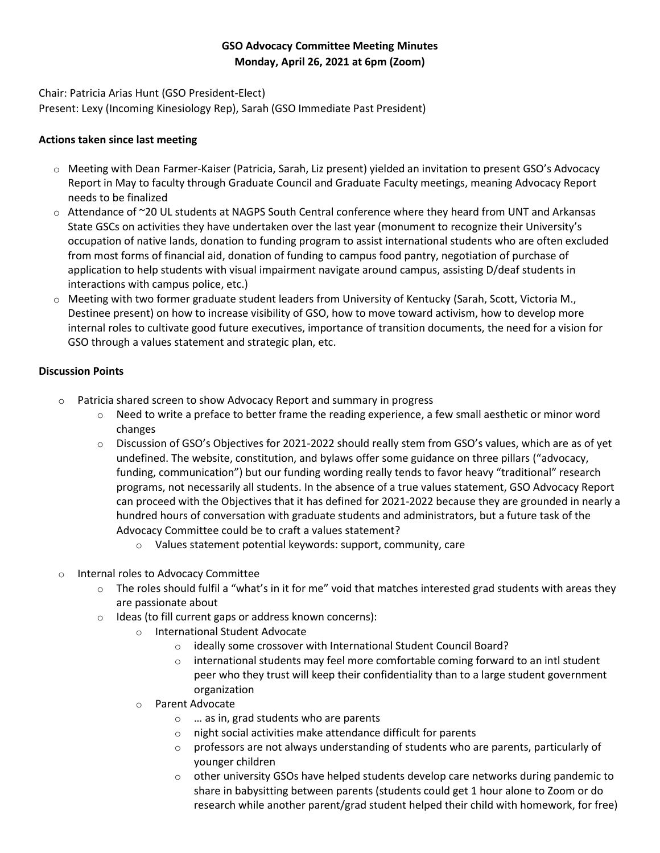## **GSO Advocacy Committee Meeting Minutes Monday, April 26, 2021 at 6pm (Zoom)**

Chair: Patricia Arias Hunt (GSO President-Elect) Present: Lexy (Incoming Kinesiology Rep), Sarah (GSO Immediate Past President)

## **Actions taken since last meeting**

- o Meeting with Dean Farmer-Kaiser (Patricia, Sarah, Liz present) yielded an invitation to present GSO's Advocacy Report in May to faculty through Graduate Council and Graduate Faculty meetings, meaning Advocacy Report needs to be finalized
- o Attendance of ~20 UL students at NAGPS South Central conference where they heard from UNT and Arkansas State GSCs on activities they have undertaken over the last year (monument to recognize their University's occupation of native lands, donation to funding program to assist international students who are often excluded from most forms of financial aid, donation of funding to campus food pantry, negotiation of purchase of application to help students with visual impairment navigate around campus, assisting D/deaf students in interactions with campus police, etc.)
- o Meeting with two former graduate student leaders from University of Kentucky (Sarah, Scott, Victoria M., Destinee present) on how to increase visibility of GSO, how to move toward activism, how to develop more internal roles to cultivate good future executives, importance of transition documents, the need for a vision for GSO through a values statement and strategic plan, etc.

## **Discussion Points**

- o Patricia shared screen to show Advocacy Report and summary in progress
	- $\circ$  Need to write a preface to better frame the reading experience, a few small aesthetic or minor word changes
	- o Discussion of GSO's Objectives for 2021-2022 should really stem from GSO's values, which are as of yet undefined. The website, constitution, and bylaws offer some guidance on three pillars ("advocacy, funding, communication") but our funding wording really tends to favor heavy "traditional" research programs, not necessarily all students. In the absence of a true values statement, GSO Advocacy Report can proceed with the Objectives that it has defined for 2021-2022 because they are grounded in nearly a hundred hours of conversation with graduate students and administrators, but a future task of the Advocacy Committee could be to craft a values statement?
		- o Values statement potential keywords: support, community, care
- o Internal roles to Advocacy Committee
	- $\circ$  The roles should fulfil a "what's in it for me" void that matches interested grad students with areas they are passionate about
	- o Ideas (to fill current gaps or address known concerns):
		- o International Student Advocate
			- o ideally some crossover with International Student Council Board?
			- $\circ$  international students may feel more comfortable coming forward to an intl student peer who they trust will keep their confidentiality than to a large student government organization
		- o Parent Advocate
			- o … as in, grad students who are parents
			- o night social activities make attendance difficult for parents
			- $\circ$  professors are not always understanding of students who are parents, particularly of younger children
			- $\circ$  other university GSOs have helped students develop care networks during pandemic to share in babysitting between parents (students could get 1 hour alone to Zoom or do research while another parent/grad student helped their child with homework, for free)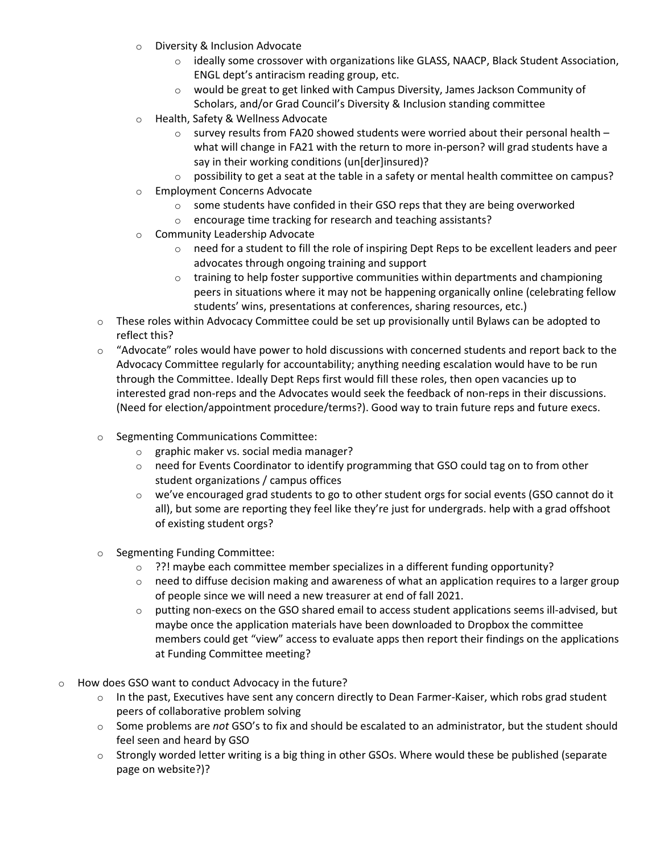- o Diversity & Inclusion Advocate
	- $\circ$  ideally some crossover with organizations like GLASS, NAACP, Black Student Association, ENGL dept's antiracism reading group, etc.
	- $\circ$  would be great to get linked with Campus Diversity, James Jackson Community of Scholars, and/or Grad Council's Diversity & Inclusion standing committee
- o Health, Safety & Wellness Advocate
	- $\circ$  survey results from FA20 showed students were worried about their personal health what will change in FA21 with the return to more in-person? will grad students have a say in their working conditions (un[der]insured)?
	- $\circ$  possibility to get a seat at the table in a safety or mental health committee on campus?
- o Employment Concerns Advocate
	- o some students have confided in their GSO reps that they are being overworked
	- o encourage time tracking for research and teaching assistants?
- o Community Leadership Advocate
	- o need for a student to fill the role of inspiring Dept Reps to be excellent leaders and peer advocates through ongoing training and support
	- $\circ$  training to help foster supportive communities within departments and championing peers in situations where it may not be happening organically online (celebrating fellow students' wins, presentations at conferences, sharing resources, etc.)
- $\circ$  These roles within Advocacy Committee could be set up provisionally until Bylaws can be adopted to reflect this?
- $\circ$  "Advocate" roles would have power to hold discussions with concerned students and report back to the Advocacy Committee regularly for accountability; anything needing escalation would have to be run through the Committee. Ideally Dept Reps first would fill these roles, then open vacancies up to interested grad non-reps and the Advocates would seek the feedback of non-reps in their discussions. (Need for election/appointment procedure/terms?). Good way to train future reps and future execs.
- o Segmenting Communications Committee:
	- o graphic maker vs. social media manager?
	- o need for Events Coordinator to identify programming that GSO could tag on to from other student organizations / campus offices
	- $\circ$  we've encouraged grad students to go to other student orgs for social events (GSO cannot do it all), but some are reporting they feel like they're just for undergrads. help with a grad offshoot of existing student orgs?
- o Segmenting Funding Committee:
	- $\circ$  ??! maybe each committee member specializes in a different funding opportunity?
	- $\circ$  need to diffuse decision making and awareness of what an application requires to a larger group of people since we will need a new treasurer at end of fall 2021.
	- $\circ$  putting non-execs on the GSO shared email to access student applications seems ill-advised, but maybe once the application materials have been downloaded to Dropbox the committee members could get "view" access to evaluate apps then report their findings on the applications at Funding Committee meeting?
- o How does GSO want to conduct Advocacy in the future?
	- $\circ$  In the past, Executives have sent any concern directly to Dean Farmer-Kaiser, which robs grad student peers of collaborative problem solving
	- o Some problems are *not* GSO's to fix and should be escalated to an administrator, but the student should feel seen and heard by GSO
	- $\circ$  Strongly worded letter writing is a big thing in other GSOs. Where would these be published (separate page on website?)?